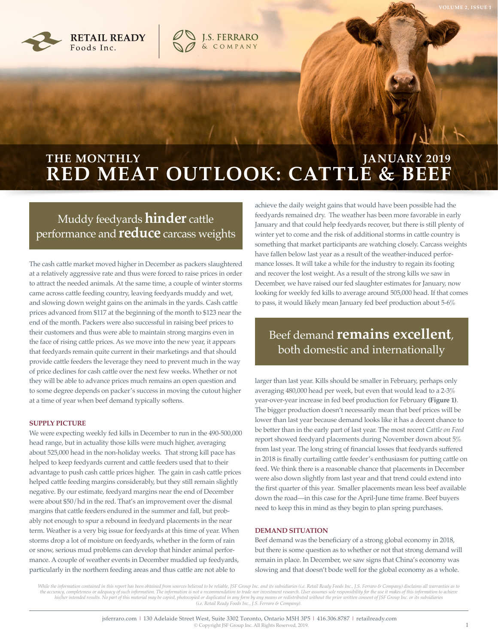

## **RED MEAT OUTLOOK: CATTLE & BEEF THE MONTHLY GENERAL PROPERTY AND ARRY 2019**

**J.S. FERRARO**<br>& COMPANY

## Muddy feedyards **hinder** cattle performance and **reduce** carcass weights

The cash cattle market moved higher in December as packers slaughtered at a relatively aggressive rate and thus were forced to raise prices in order to attract the needed animals. At the same time, a couple of winter storms came across cattle feeding country, leaving feedyards muddy and wet, and slowing down weight gains on the animals in the yards. Cash cattle prices advanced from \$117 at the beginning of the month to \$123 near the end of the month. Packers were also successful in raising beef prices to their customers and thus were able to maintain strong margins even in the face of rising cattle prices. As we move into the new year, it appears that feedyards remain quite current in their marketings and that should provide cattle feeders the leverage they need to prevent much in the way of price declines for cash cattle over the next few weeks. Whether or not they will be able to advance prices much remains an open question and to some degree depends on packer's success in moving the cutout higher at a time of year when beef demand typically softens.

#### **SUPPLY PICTURE**

We were expecting weekly fed kills in December to run in the 490-500,000 head range, but in actuality those kills were much higher, averaging about 525,000 head in the non-holiday weeks. That strong kill pace has helped to keep feedyards current and cattle feeders used that to their advantage to push cash cattle prices higher. The gain in cash cattle prices helped cattle feeding margins considerably, but they still remain slightly negative. By our estimate, feedyard margins near the end of December were about \$50/hd in the red. That's an improvement over the dismal margins that cattle feeders endured in the summer and fall, but probably not enough to spur a rebound in feedyard placements in the near term. Weather is a very big issue for feedyards at this time of year. When storms drop a lot of moisture on feedyards, whether in the form of rain or snow, serious mud problems can develop that hinder animal performance. A couple of weather events in December muddied up feedyards, particularly in the northern feeding areas and thus cattle are not able to

achieve the daily weight gains that would have been possible had the feedyards remained dry. The weather has been more favorable in early January and that could help feedyards recover, but there is still plenty of winter yet to come and the risk of additional storms in cattle country is something that market participants are watching closely. Carcass weights have fallen below last year as a result of the weather-induced performance losses. It will take a while for the industry to regain its footing and recover the lost weight. As a result of the strong kills we saw in December, we have raised our fed slaughter estimates for January, now looking for weekly fed kills to average around 505,000 head. If that comes to pass, it would likely mean January fed beef production about 5-6%

## Beef demand **remains excellent**, both domestic and internationally

larger than last year. Kills should be smaller in February, perhaps only averaging 480,000 head per week, but even that would lead to a 2-3% year-over-year increase in fed beef production for February **(Figure 1)**. The bigger production doesn't necessarily mean that beef prices will be lower than last year because demand looks like it has a decent chance to be better than in the early part of last year. The most recent *Cattle on Feed* report showed feedyard placements during November down about 5% from last year. The long string of financial losses that feedyards suffered in 2018 is finally curtailing cattle feeder's enthusiasm for putting cattle on feed. We think there is a reasonable chance that placements in December were also down slightly from last year and that trend could extend into the first quarter of this year. Smaller placements mean less beef available down the road—in this case for the April-June time frame. Beef buyers need to keep this in mind as they begin to plan spring purchases.

#### **DEMAND SITUATION**

Beef demand was the beneficiary of a strong global economy in 2018, but there is some question as to whether or not that strong demand will remain in place. In December, we saw signs that China's economy was slowing and that doesn't bode well for the global economy as a whole.

While the information contained in this report has been obtained from sources believed to be reliable, JSF Group Inc. and its subsidiaries (i.e. Retail Ready Foods Inc., J.S. Ferraro & Company) disclaims all warranties as y, completeness or adequacy of such information. The information is not a recommendation to trade nor investment research. User assumes sole responsibility for the use it makes of this information to achi his|her intended results. No part of this material may be copied, photocopied or duplicated in any form by any means or redistributed without the prior written consent of JSF Group Inc. or its subsidiaries<br>(i.e. Retail Rea